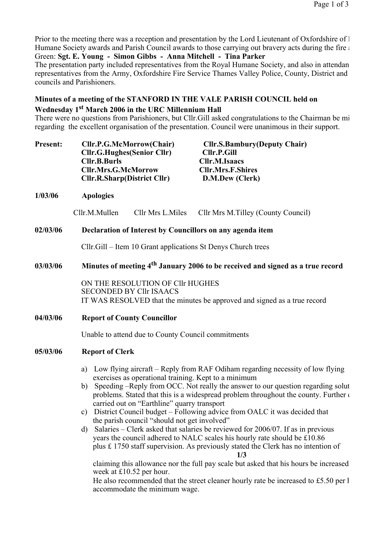Prior to the meeting there was a reception and presentation by the Lord Lieutenant of Oxfordshire of  $\Gamma$ Humane Society awards and Parish Council awards to those carrying out bravery acts during the fire at  $\epsilon$ Green: Sgt. E. Young - Simon Gibbs - Anna Mitchell - Tina Parker

The presentation party included representatives from the Royal Humane Society, and also in attendan representatives from the Army, Oxfordshire Fire Service Thames Valley Police, County, District and councils and Parishioners.

# Minutes of a meeting of the STANFORD IN THE VALE PARISH COUNCIL held on

## Wednesday 1st March 2006 in the URC Millennium Hall

There were no questions from Parishioners, but Cllr.Gill asked congratulations to the Chairman be mi regarding the excellent organisation of the presentation. Council were unanimous in their support.

| <b>Present:</b> | Cllr.P.G.McMorrow(Chair)           | <b>Cllr.S.Bambury</b> (Deputy Chair) |
|-----------------|------------------------------------|--------------------------------------|
|                 | <b>Cllr.G.Hughes (Senior Cllr)</b> | <b>Cllr.P.Gill</b>                   |
|                 | <b>Cllr.B.Burls</b>                | Cllr.M.Isaacs                        |
|                 | <b>Cllr.Mrs.G.McMorrow</b>         | <b>Cllr.Mrs.F.Shires</b>             |
|                 | Cllr.R.Sharp(District Cllr)        | D.M.Dew (Clerk)                      |
|                 |                                    |                                      |

# 1/03/06 Apologies

Cllr.M.Mullen Cllr Mrs L.Miles Cllr Mrs M.Tilley (County Council)

## 02/03/06 Declaration of Interest by Councillors on any agenda item

Cllr.Gill – Item 10 Grant applications St Denys Church trees

## $03/03/06$  Minutes of meeting  $4<sup>th</sup>$  January 2006 to be received and signed as a true record

ON THE RESOLUTION OF Cllr HUGHES SECONDED BY Cllr ISAACS IT WAS RESOLVED that the minutes be approved and signed as a true record

04/03/06 Report of County Councillor

Unable to attend due to County Council commitments

### 05/03/06 Report of Clerk

- a) Low flying aircraft Reply from RAF Odiham regarding necessity of low flying exercises as operational training. Kept to a minimum
- b) Speeding –Reply from OCC. Not really the answer to our question regarding solut problems. Stated that this is a widespread problem throughout the county. Further  $\epsilon$ carried out on "Earthline" quarry transport
- c) District Council budget Following advice from OALC it was decided that the parish council "should not get involved"
- d) Salaries Clerk asked that salaries be reviewed for 2006/07. If as in previous years the council adhered to NALC scales his hourly rate should be £10.86 plus £ 1750 staff supervision. As previously stated the Clerk has no intention of

1/3

claiming this allowance nor the full pay scale but asked that his hours be increased week at £10.52 per hour.

He also recommended that the street cleaner hourly rate be increased to £5.50 per  $\mathfrak k$ accommodate the minimum wage.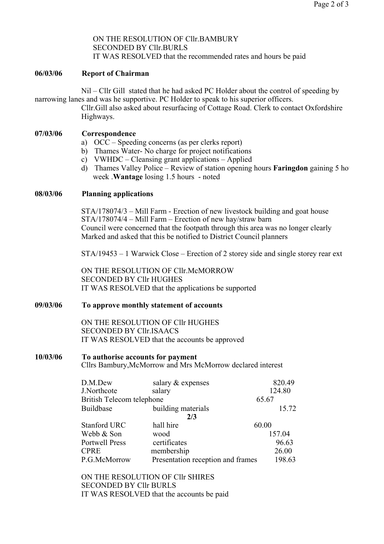ON THE RESOLUTION OF Cllr.BAMBURY SECONDED BY Cllr.BURLS IT WAS RESOLVED that the recommended rates and hours be paid

#### 06/03/06 Report of Chairman

Nil – Cllr Gill stated that he had asked PC Holder about the control of speeding by narrowing lanes and was he supportive. PC Holder to speak to his superior officers.

Cllr.Gill also asked about resurfacing of Cottage Road. Clerk to contact Oxfordshire Highways.

### 07/03/06 Correspondence

- a) OCC Speeding concerns (as per clerks report)
- b) Thames Water- No charge for project notifications
- c) VWHDC Cleansing grant applications Applied
- d) Thames Valley Police Review of station opening hours **Faringdon** gaining 5 ho week .Wantage losing 1.5 hours - noted

#### 08/03/06 Planning applications

STA/178074/3 – Mill Farm - Erection of new livestock building and goat house STA/178074/4 – Mill Farm – Erection of new hay/straw barn Council were concerned that the footpath through this area was no longer clearly Marked and asked that this be notified to District Council planners

STA/19453 – 1 Warwick Close – Erection of 2 storey side and single storey rear ext

ON THE RESOLUTION OF Cllr.McMORROW SECONDED BY Cllr HUGHES IT WAS RESOLVED that the applications be supported

#### 09/03/06 To approve monthly statement of accounts

ON THE RESOLUTION OF Cllr HUGHES SECONDED BY Cllr.ISAACS IT WAS RESOLVED that the accounts be approved

# 10/03/06 To authorise accounts for payment

Cllrs Bambury,McMorrow and Mrs McMorrow declared interest

| D.M.Dew                          | salary & expenses                 | 820.49 |
|----------------------------------|-----------------------------------|--------|
| J.Northcote                      | salary                            | 124.80 |
| <b>British Telecom telephone</b> |                                   | 65.67  |
| Buildbase                        | building materials                | 15.72  |
|                                  | 2/3                               |        |
| <b>Stanford URC</b>              | hall hire                         | 60.00  |
| Webb & Son                       | wood                              | 157.04 |
| <b>Portwell Press</b>            | certificates                      | 96.63  |
| <b>CPRE</b>                      | membership                        | 26.00  |
| P.G.McMorrow                     | Presentation reception and frames | 198.63 |

ON THE RESOLUTION OF Cllr SHIRES SECONDED BY Cllr BURLS IT WAS RESOLVED that the accounts be paid